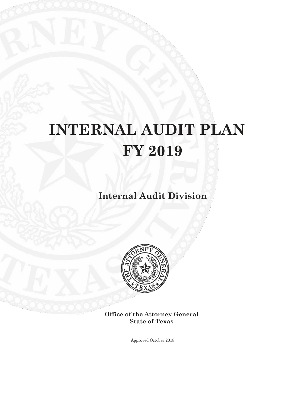# **INTERNAL AUDIT PLAN FY 2019**

**Internal Audit Division**



**Office of the Attorney General State of Texas**

Approved October 2018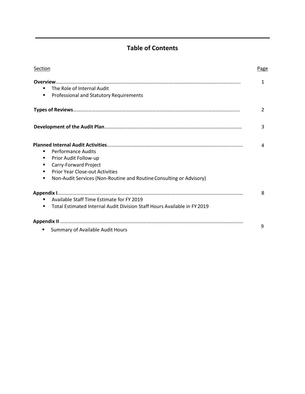# **Table of Contents**

| Section                                                                                    | Page |
|--------------------------------------------------------------------------------------------|------|
| Overview                                                                                   | 1    |
| The Role of Internal Audit<br>٠                                                            |      |
| Professional and Statutory Requirements<br>$\blacksquare$                                  |      |
|                                                                                            | 2    |
|                                                                                            | 3    |
|                                                                                            | 4    |
| <b>Performance Audits</b><br>٠                                                             |      |
| Prior Audit Follow-up<br>٠                                                                 |      |
| Carry-Forward Project<br>٠                                                                 |      |
| <b>Prior Year Close-out Activities</b><br>$\blacksquare$                                   |      |
| Non-Audit Services (Non-Routine and Routine Consulting or Advisory)<br>$\blacksquare$      |      |
|                                                                                            | 8    |
| Available Staff Time Estimate for FY 2019<br>٠                                             |      |
| Total Estimated Internal Audit Division Staff Hours Available in FY 2019<br>$\blacksquare$ |      |
|                                                                                            |      |
| Summary of Available Audit Hours<br>٠                                                      | 9    |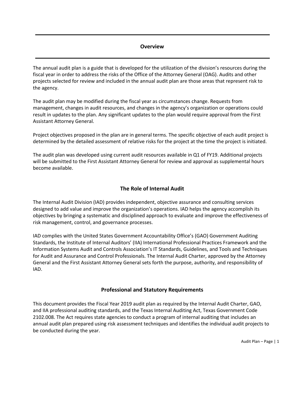#### **Overview**

The annual audit plan is a guide that is developed for the utilization of the division's resources during the fiscal year in order to address the risks of the Office of the Attorney General (OAG). Audits and other projects selected for review and included in the annual audit plan are those areas that represent risk to the agency.

The audit plan may be modified during the fiscal year as circumstances change. Requests from management, changes in audit resources, and changes in the agency's organization or operations could result in updates to the plan. Any significant updates to the plan would require approval from the First Assistant Attorney General.

Project objectives proposed in the plan are in general terms. The specific objective of each audit project is determined by the detailed assessment of relative risks for the project at the time the project is initiated.

The audit plan was developed using current audit resources available in Q1 of FY19. Additional projects will be submitted to the First Assistant Attorney General for review and approval as supplemental hours become available.

#### **The Role of Internal Audit**

The Internal Audit Division (IAD) provides independent, objective assurance and consulting services designed to add value and improve the organization's operations. IAD helps the agency accomplish its objectives by bringing a systematic and disciplined approach to evaluate and improve the effectiveness of risk management, control, and governance processes.

IAD complies with the United States Government Accountability Office's (GAO) Government Auditing Standards, the Institute of Internal Auditors' (IIA) International Professional Practices Framework and the Information Systems Audit and Controls Association's IT Standards, Guidelines, and Tools and Techniques for Audit and Assurance and Control Professionals. The Internal Audit Charter, approved by the Attorney General and the First Assistant Attorney General sets forth the purpose, authority, and responsibility of IAD.

#### **Professional and Statutory Requirements**

This document provides the Fiscal Year 2019 audit plan as required by the Internal Audit Charter, GAO, and IIA professional auditing standards, and the Texas Internal Auditing Act, Texas Government Code 2102.008. The Act requires state agencies to conduct a program of internal auditing that includes an annual audit plan prepared using risk assessment techniques and identifies the individual audit projects to be conducted during the year.

Audit Plan – Page | 1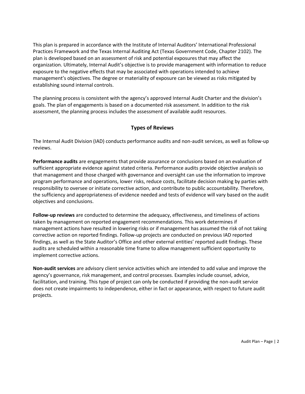This plan is prepared in accordance with the Institute of Internal Auditors' International Professional Practices Framework and the Texas Internal Auditing Act (Texas Government Code, Chapter 2102). The plan is developed based on an assessment of risk and potential exposures that may affect the organization. Ultimately, Internal Audit's objective is to provide management with information to reduce exposure to the negative effects that may be associated with operations intended to achieve management's objectives. The degree or materiality of exposure can be viewed as risks mitigated by establishing sound internal controls.

The planning process is consistent with the agency's approved Internal Audit Charter and the division's goals. The plan of engagements is based on a documented risk assessment. In addition to the risk assessment, the planning process includes the assessment of available audit resources.

#### **Types of Reviews**

The Internal Audit Division (IAD) conducts performance audits and non-audit services, as well as follow-up reviews.

**Performance audits** are engagements that provide assurance or conclusions based on an evaluation of sufficient appropriate evidence against stated criteria. Performance audits provide objective analysis so that management and those charged with governance and oversight can use the information to improve program performance and operations, lower risks, reduce costs, facilitate decision making by parties with responsibility to oversee or initiate corrective action, and contribute to public accountability. Therefore, the sufficiency and appropriateness of evidence needed and tests of evidence will vary based on the audit objectives and conclusions.

**Follow-up reviews** are conducted to determine the adequacy, effectiveness, and timeliness of actions taken by management on reported engagement recommendations. This work determines if management actions have resulted in lowering risks or if management has assumed the risk of not taking corrective action on reported findings. Follow-up projects are conducted on previous IAD reported findings, as well as the State Auditor's Office and other external entities' reported audit findings. These audits are scheduled within a reasonable time frame to allow management sufficient opportunity to implement corrective actions.

**Non-audit services** are advisory client service activities which are intended to add value and improve the agency's governance, risk management, and control processes. Examples include counsel, advice, facilitation, and training. This type of project can only be conducted if providing the non-audit service does not create impairments to independence, either in fact or appearance, with respect to future audit projects.

Audit Plan – Page | 2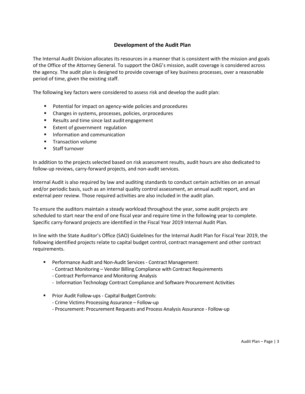#### **Development of the Audit Plan**

The Internal Audit Division allocates its resources in a manner that is consistent with the mission and goals of the Office of the Attorney General. To support the OAG's mission, audit coverage is considered across the agency. The audit plan is designed to provide coverage of key business processes, over a reasonable period of time, given the existing staff.

The following key factors were considered to assess risk and develop the audit plan:

- **Potential for impact on agency-wide policies and procedures**
- Changes in systems, processes, policies, orprocedures
- **Results and time since last audit engagement**
- **Extent of government regulation**
- **Information and communication**
- **Transaction volume**
- **Staff turnover**

In addition to the projects selected based on risk assessment results, audit hours are also dedicated to follow-up reviews, carry-forward projects, and non-audit services.

Internal Audit is also required by law and auditing standards to conduct certain activities on an annual and/or periodic basis, such as an internal quality control assessment, an annual audit report, and an external peer review. Those required activities are also included in the audit plan.

To ensure the auditors maintain a steady workload throughout the year, some audit projects are scheduled to start near the end of one fiscal year and require time in the following year to complete. Specific carry-forward projects are identified in the Fiscal Year 2019 Internal Audit Plan.

In line with the State Auditor's Office (SAO) Guidelines for the Internal Audit Plan for Fiscal Year 2019, the following identified projects relate to capital budget control, contract management and other contract requirements.

- **Performance Audit and Non-Audit Services Contract Management:** 
	- Contract Monitoring Vendor Billing Compliance with Contract Requirements
	- Contract Performance and Monitoring Analysis
	- Information Technology Contract Compliance and Software Procurement Activities
- Prior Audit Follow-ups Capital Budget Controls:
	- Crime Victims Processing Assurance Follow-up
	- Procurement: Procurement Requests and Process Analysis Assurance Follow-up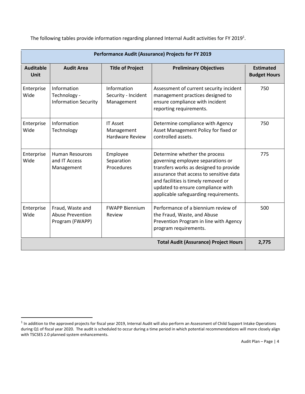The following tables provide information regarding planned Internal Audit activities for FY 2019<sup>1</sup>.

| Performance Audit (Assurance) Projects for FY 2019 |                                                                |                                                         |                                                                                                                                                                                                                                                                              |                                         |
|----------------------------------------------------|----------------------------------------------------------------|---------------------------------------------------------|------------------------------------------------------------------------------------------------------------------------------------------------------------------------------------------------------------------------------------------------------------------------------|-----------------------------------------|
| <b>Auditable</b><br>Unit                           | <b>Audit Area</b>                                              | <b>Title of Project</b>                                 | <b>Preliminary Objectives</b>                                                                                                                                                                                                                                                | <b>Estimated</b><br><b>Budget Hours</b> |
| Enterprise<br>Wide                                 | Information<br>Technology -<br><b>Information Security</b>     | Information<br>Security - Incident<br>Management        | Assessment of current security incident<br>management practices designed to<br>ensure compliance with incident<br>reporting requirements.                                                                                                                                    | 750                                     |
| Enterprise<br>Wide                                 | Information<br>Technology                                      | <b>IT Asset</b><br>Management<br><b>Hardware Review</b> | Determine compliance with Agency<br>Asset Management Policy for fixed or<br>controlled assets.                                                                                                                                                                               | 750                                     |
| Enterprise<br>Wide                                 | <b>Human Resources</b><br>and IT Access<br>Management          | Employee<br>Separation<br>Procedures                    | Determine whether the process<br>governing employee separations or<br>transfers works as designed to provide<br>assurance that access to sensitive data<br>and facilities is timely removed or<br>updated to ensure compliance with<br>applicable safeguarding requirements. | 775                                     |
| Enterprise<br>Wide                                 | Fraud, Waste and<br><b>Abuse Prevention</b><br>Program (FWAPP) | <b>FWAPP Biennium</b><br>Review                         | Performance of a biennium review of<br>the Fraud, Waste, and Abuse<br>Prevention Program in line with Agency<br>program requirements.                                                                                                                                        | 500                                     |
| <b>Total Audit (Assurance) Project Hours</b>       |                                                                |                                                         |                                                                                                                                                                                                                                                                              | 2,775                                   |

 $\overline{a}$ 

<sup>&</sup>lt;sup>1</sup> In addition to the approved projects for fiscal year 2019, Internal Audit will also perform an Assessment of Child Support Intake Operations during Q1 of fiscal year 2020. The audit is scheduled to occur during a time period in which potential recommendations will more closely align with TSCSES 2.0 planned system enhancements.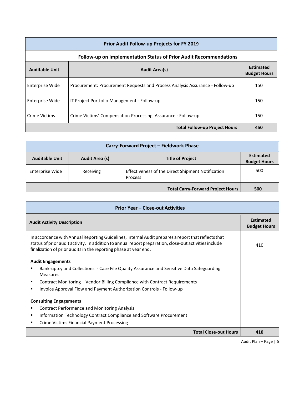| Prior Audit Follow-up Projects for FY 2019    |                                                                              |     |  |
|-----------------------------------------------|------------------------------------------------------------------------------|-----|--|
|                                               | Follow-up on Implementation Status of Prior Audit Recommendations            |     |  |
| <b>Auditable Unit</b><br><b>Audit Area(s)</b> |                                                                              |     |  |
| Enterprise Wide                               | Procurement: Procurement Requests and Process Analysis Assurance - Follow-up | 150 |  |
| Enterprise Wide                               | IT Project Portfolio Management - Follow-up                                  | 150 |  |
| Crime Victims                                 | Crime Victims' Compensation Processing Assurance - Follow-up                 | 150 |  |
|                                               | <b>Total Follow-up Project Hours</b>                                         | 450 |  |

| Carry-Forward Project - Fieldwork Phase                            |           |                                                              |     |  |
|--------------------------------------------------------------------|-----------|--------------------------------------------------------------|-----|--|
| <b>Auditable Unit</b><br>Audit Area (s)<br><b>Title of Project</b> |           |                                                              |     |  |
| Enterprise Wide                                                    | Receiving | Effectiveness of the Direct Shipment Notification<br>Process | 500 |  |
| <b>Total Carry-Forward Project Hours</b>                           |           |                                                              |     |  |

| <b>Prior Year - Close-out Activities</b>                                                                                                                                                                                                                                          |                                         |  |  |  |
|-----------------------------------------------------------------------------------------------------------------------------------------------------------------------------------------------------------------------------------------------------------------------------------|-----------------------------------------|--|--|--|
| <b>Audit Activity Description</b>                                                                                                                                                                                                                                                 | <b>Estimated</b><br><b>Budget Hours</b> |  |  |  |
| In accordance with Annual Reporting Guidelines, Internal Audit prepares a report that reflects that<br>status of prior audit activity. In addition to annual report preparation, close-out activities include<br>finalization of prior audits in the reporting phase at year end. | 410                                     |  |  |  |
| <b>Audit Engagements</b>                                                                                                                                                                                                                                                          |                                         |  |  |  |
| Bankruptcy and Collections - Case File Quality Assurance and Sensitive Data Safeguarding<br>п<br><b>Measures</b>                                                                                                                                                                  |                                         |  |  |  |
| Contract Monitoring – Vendor Billing Compliance with Contract Requirements<br>٠                                                                                                                                                                                                   |                                         |  |  |  |
| Invoice Approval Flow and Payment Authorization Controls - Follow-up<br>п                                                                                                                                                                                                         |                                         |  |  |  |
| <b>Consulting Engagements</b>                                                                                                                                                                                                                                                     |                                         |  |  |  |
| <b>Contract Performance and Monitoring Analysis</b><br>٠                                                                                                                                                                                                                          |                                         |  |  |  |
| Information Technology Contract Compliance and Software Procurement<br>٠                                                                                                                                                                                                          |                                         |  |  |  |
| <b>Crime Victims Financial Payment Processing</b><br>٠                                                                                                                                                                                                                            |                                         |  |  |  |
| <b>Total Close-out Hours</b>                                                                                                                                                                                                                                                      | 410                                     |  |  |  |

Audit Plan – Page | 5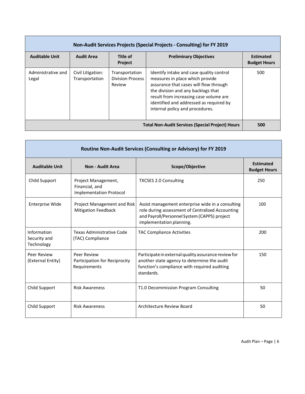| Non-Audit Services Projects (Special Projects - Consulting) for FY 2019 |                                     |                                                     |                                                                                                                                                                                                                                                                                     |                                         |
|-------------------------------------------------------------------------|-------------------------------------|-----------------------------------------------------|-------------------------------------------------------------------------------------------------------------------------------------------------------------------------------------------------------------------------------------------------------------------------------------|-----------------------------------------|
| <b>Auditable Unit</b>                                                   | <b>Audit Area</b>                   | Title of<br><b>Project</b>                          | <b>Preliminary Objectives</b>                                                                                                                                                                                                                                                       | <b>Estimated</b><br><b>Budget Hours</b> |
| Administrative and<br>Legal                                             | Civil Litigation:<br>Transportation | Transportation<br><b>Division Process</b><br>Review | Identify intake and case quality control<br>measures in place which provide<br>assurance that cases will flow through<br>the division and any backlogs that<br>result from increasing case volume are<br>identified and addressed as required by<br>internal policy and procedures. | 500                                     |
|                                                                         |                                     |                                                     | <b>Total Non-Audit Services (Special Project) Hours</b>                                                                                                                                                                                                                             | 500                                     |

| Routine Non-Audit Services (Consulting or Advisory) for FY 2019 |                                                                         |                                                                                                                                                                                   |                                         |  |  |
|-----------------------------------------------------------------|-------------------------------------------------------------------------|-----------------------------------------------------------------------------------------------------------------------------------------------------------------------------------|-----------------------------------------|--|--|
| <b>Auditable Unit</b>                                           | <b>Non - Audit Area</b>                                                 | Scope/Objective                                                                                                                                                                   | <b>Estimated</b><br><b>Budget Hours</b> |  |  |
| Child Support                                                   | Project Management,<br>Financial, and<br><b>Implementation Protocol</b> | <b>TXCSES 2.0 Consulting</b>                                                                                                                                                      | 250                                     |  |  |
| <b>Enterprise Wide</b>                                          | Project Management and Risk<br><b>Mitigation Feedback</b>               | Assist management enterprise wide in a consulting<br>role during assessment of Centralized Accounting<br>and Payroll/Personnel System (CAPPS) project<br>implementation planning. | 100                                     |  |  |
| Information<br>Security and<br>Technology                       | Texas Administrative Code<br>(TAC) Compliance                           | <b>TAC Compliance Activities</b>                                                                                                                                                  | 200                                     |  |  |
| Peer Review<br>(External Entity)                                | Peer Review<br>Participation for Reciprocity<br>Requirements            | Participate in external quality assurance review for<br>another state agency to determine the audit<br>function's compliance with required auditing<br>standards.                 | 150                                     |  |  |
| Child Support                                                   | <b>Risk Awareness</b>                                                   | T1.0 Decommission Program Consulting                                                                                                                                              | 50                                      |  |  |
| Child Support                                                   | <b>Risk Awareness</b>                                                   | Architecture Review Board                                                                                                                                                         | 50                                      |  |  |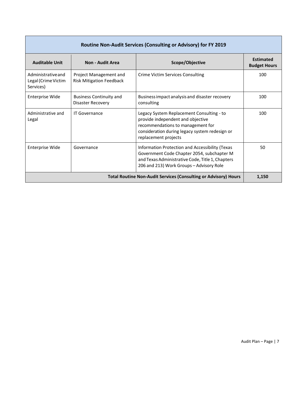| Routine Non-Audit Services (Consulting or Advisory) for FY 2019 |                                                           |                                                                                                                                                                                               |                                         |  |
|-----------------------------------------------------------------|-----------------------------------------------------------|-----------------------------------------------------------------------------------------------------------------------------------------------------------------------------------------------|-----------------------------------------|--|
| <b>Auditable Unit</b>                                           | Non - Audit Area                                          | Scope/Objective                                                                                                                                                                               | <b>Estimated</b><br><b>Budget Hours</b> |  |
| Administrative and<br>Legal (Crime Victim<br>Services)          | Project Management and<br><b>Risk Mitigation Feedback</b> | Crime Victim Services Consulting                                                                                                                                                              | 100                                     |  |
| Enterprise Wide                                                 | <b>Business Continuity and</b><br>Disaster Recovery       | Business impact analysis and disaster recovery<br>consulting                                                                                                                                  | 100                                     |  |
| Administrative and<br>Legal                                     | <b>IT Governance</b>                                      | Legacy System Replacement Consulting - to<br>provide independent and objective<br>recommendations to management for<br>consideration during legacy system redesign or<br>replacement projects | 100                                     |  |
| <b>Enterprise Wide</b>                                          | Governance                                                | Information Protection and Accessibility (Texas<br>Government Code Chapter 2054, subchapter M<br>and Texas Administrative Code, Title 1, Chapters<br>206 and 213) Work Groups - Advisory Role | 50                                      |  |
|                                                                 |                                                           | <b>Total Routine Non-Audit Services (Consulting or Advisory) Hours</b>                                                                                                                        | 1,150                                   |  |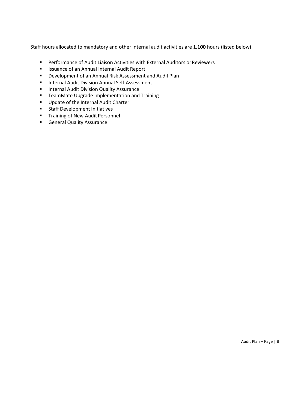Staff hours allocated to mandatory and other internal audit activities are **1,100** hours (listed below).

- **Performance of Audit Liaison Activities with External Auditors or Reviewers**
- **In Itsuance of an Annual Internal Audit Report**
- Development of an Annual Risk Assessment and Audit Plan
- **Internal Audit Division Annual Self-Assessment**
- **Internal Audit Division Quality Assurance**
- **TeamMate Upgrade Implementation and Training**
- Update of the Internal Audit Charter
- **Staff Development Initiatives**
- **Training of New Audit Personnel**
- **General Quality Assurance**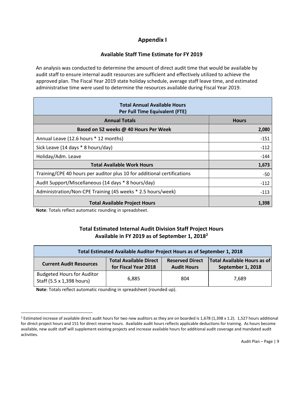## **Appendix I**

#### **Available Staff Time Estimate for FY 2019**

An analysis was conducted to determine the amount of direct audit time that would be available by audit staff to ensure internal audit resources are sufficient and effectively utilized to achieve the approved plan. The Fiscal Year 2019 state holiday schedule, average staff leave time, and estimated administrative time were used to determine the resources available during Fiscal Year 2019.

| <b>Total Annual Available Hours</b><br>Per Full Time Equivalent (FTE)   |              |
|-------------------------------------------------------------------------|--------------|
| <b>Annual Totals</b>                                                    | <b>Hours</b> |
| Based on 52 weeks @ 40 Hours Per Week                                   | 2,080        |
| Annual Leave (12.6 hours * 12 months)                                   | $-151$       |
| Sick Leave (14 days * 8 hours/day)                                      | $-112$       |
| Holiday/Adm. Leave                                                      | $-144$       |
| <b>Total Available Work Hours</b>                                       | 1,673        |
| Training/CPE 40 hours per auditor plus 10 for additional certifications | -50          |
| Audit Support/Miscellaneous (14 days * 8 hours/day)                     | $-112$       |
| Administration/Non-CPE Training (45 weeks * 2.5 hours/week)             | $-113$       |
| <b>Total Available Project Hours</b>                                    | 1,398        |

**Note**: Totals reflect automatic rounding in spreadsheet.

#### **Total Estimated Internal Audit Division Staff Project Hours Available in FY 2019 as of September 1, 2018<sup>2</sup>**

| Total Estimated Available Auditor Project Hours as of September 1, 2018 |                                                       |                                              |                                                         |  |
|-------------------------------------------------------------------------|-------------------------------------------------------|----------------------------------------------|---------------------------------------------------------|--|
| <b>Current Audit Resources</b>                                          | <b>Total Available Direct</b><br>for Fiscal Year 2018 | <b>Reserved Direct</b><br><b>Audit Hours</b> | <b>Total Available Hours as of</b><br>September 1, 2018 |  |
| <b>Budgeted Hours for Auditor</b><br>Staff (5.5 x 1,398 hours)          | 6.885                                                 | 804                                          | 7.689                                                   |  |

**Note**: Totals reflect automatic rounding in spreadsheet (rounded up).

 $\overline{a}$ 

<sup>&</sup>lt;sup>2</sup> Estimated increase of available direct audit hours for two new auditors as they are on boarded is  $1,678$  ( $1,398$  x 1.2).  $1,527$  hours additional for direct project hours and 151 for direct reserve hours. Available audit hours reflects applicable deductions for training. As hours become available, new audit staff will supplement existing projects and increase available hours for additional audit coverage and mandated audit activities.